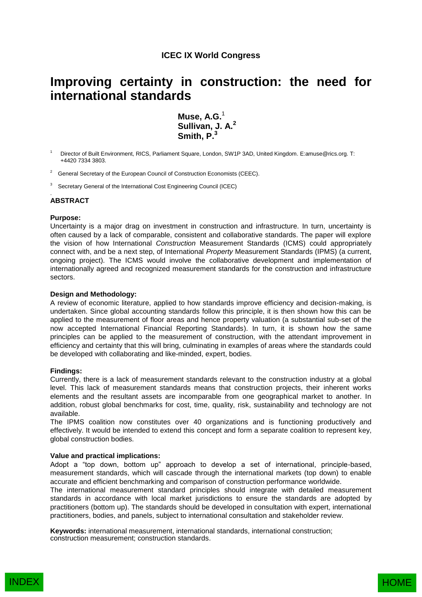## **ICEC IX World Congress**

# **Improving certainty in construction: the need for international standards**

**Muse, A.G.**<sup>1</sup> **Sullivan, J. A.<sup>2</sup> Smith, P. 3**

Director of Built Environment, RICS, Parliament Square, London, SW1P 3AD, United Kingdom. E:amuse@rics.org. T: +4420 7334 3803.

- $2$  General Secretary of the European Council of Construction Economists (CEEC).
- 3 Secretary General of the International Cost Engineering Council (ICEC)

#### . **ABSTRACT**

## **Purpose:**

Uncertainty is a major drag on investment in construction and infrastructure. In turn, uncertainty is often caused by a lack of comparable, consistent and collaborative standards. The paper will explore the vision of how International *Construction* Measurement Standards (ICMS) could appropriately connect with, and be a next step, of International *Property* Measurement Standards (IPMS) (a current, ongoing project). The ICMS would involve the collaborative development and implementation of internationally agreed and recognized measurement standards for the construction and infrastructure sectors.

## **Design and Methodology:**

A review of economic literature, applied to how standards improve efficiency and decision-making, is undertaken. Since global accounting standards follow this principle, it is then shown how this can be applied to the measurement of floor areas and hence property valuation (a substantial sub-set of the now accepted International Financial Reporting Standards). In turn, it is shown how the same principles can be applied to the measurement of construction, with the attendant improvement in efficiency and certainty that this will bring, culminating in examples of areas where the standards could be developed with collaborating and like-minded, expert, bodies.

#### **Findings:**

Currently, there is a lack of measurement standards relevant to the construction industry at a global level. This lack of measurement standards means that construction projects, their inherent works elements and the resultant assets are incomparable from one geographical market to another. In addition, robust global benchmarks for cost, time, quality, risk, sustainability and technology are not available.

The IPMS coalition now constitutes over 40 organizations and is functioning productively and effectively. It would be intended to extend this concept and form a separate coalition to represent key, global construction bodies.

#### **Value and practical implications:**

Adopt a "top down, bottom up" approach to develop a set of international, principle-based, measurement standards, which will cascade through the international markets (top down) to enable accurate and efficient benchmarking and comparison of construction performance worldwide.

The international measurement standard principles should integrate with detailed measurement standards in accordance with local market jurisdictions to ensure the standards are adopted by practitioners (bottom up). The standards should be developed in consultation with expert, international practitioners, bodies, and panels, subject to international consultation and stakeholder review.

**Keywords:** international measurement, international standards, international construction; construction measurement; construction standards.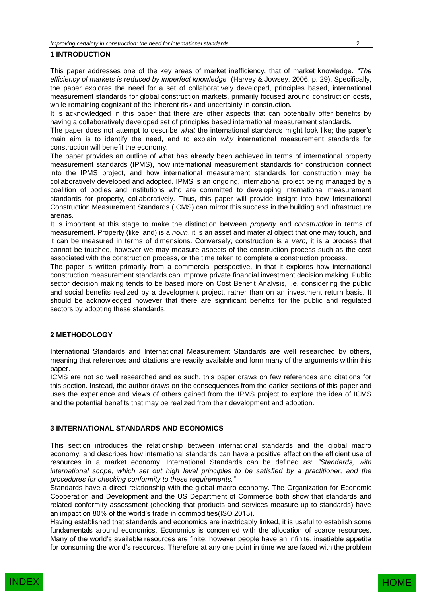## **1 INTRODUCTION**

This paper addresses one of the key areas of market inefficiency, that of market knowledge. *"The efficiency of markets is reduced by imperfect knowledge"* (Harvey & Jowsey, 2006, p. 29). Specifically, the paper explores the need for a set of collaboratively developed, principles based, international measurement standards for global construction markets, primarily focused around construction costs, while remaining cognizant of the inherent risk and uncertainty in construction.

It is acknowledged in this paper that there are other aspects that can potentially offer benefits by having a collaboratively developed set of principles based international measurement standards.

The paper does not attempt to describe *what* the international standards might look like; the paper's main aim is to identify the need, and to explain *why* international measurement standards for construction will benefit the economy.

The paper provides an outline of what has already been achieved in terms of international property measurement standards (IPMS), how international measurement standards for construction connect into the IPMS project, and how international measurement standards for construction may be collaboratively developed and adopted. IPMS is an ongoing, international project being managed by a coalition of bodies and institutions who are committed to developing international measurement standards for property, collaboratively. Thus, this paper will provide insight into how International Construction Measurement Standards (ICMS) can mirror this success in the building and infrastructure arenas.

It is important at this stage to make the distinction between *property* and *construction* in terms of measurement. Property (like land) is a *noun*, it is an asset and material object that one may touch, and it can be measured in terms of dimensions. Conversely, construction is a *verb;* it is a process that cannot be touched, however we may measure aspects of the construction process such as the cost associated with the construction process, or the time taken to complete a construction process.

The paper is written primarily from a commercial perspective, in that it explores how international construction measurement standards can improve private financial investment decision making. Public sector decision making tends to be based more on Cost Benefit Analysis, i.e. considering the public and social benefits realized by a development project, rather than on an investment return basis. It should be acknowledged however that there are significant benefits for the public and regulated sectors by adopting these standards.

#### **2 METHODOLOGY**

International Standards and International Measurement Standards are well researched by others, meaning that references and citations are readily available and form many of the arguments within this paper.

ICMS are not so well researched and as such, this paper draws on few references and citations for this section. Instead, the author draws on the consequences from the earlier sections of this paper and uses the experience and views of others gained from the IPMS project to explore the idea of ICMS and the potential benefits that may be realized from their development and adoption.

#### **3 INTERNATIONAL STANDARDS AND ECONOMICS**

This section introduces the relationship between international standards and the global macro economy, and describes how international standards can have a positive effect on the efficient use of resources in a market economy. International Standards can be defined as: *"Standards, with international scope, which set out high level principles to be satisfied by a practitioner, and the procedures for checking conformity to these requirements."*

Standards have a direct relationship with the global macro economy. The Organization for Economic Cooperation and Development and the US Department of Commerce both show that standards and related conformity assessment (checking that products and services measure up to standards) have an impact on 80% of the world's trade in commodities(ISO 2013).

Having established that standards and economics are inextricably linked, it is useful to establish some fundamentals around economics. Economics is concerned with the allocation of scarce resources. Many of the world's available resources are finite; however people have an infinite, insatiable appetite for consuming the world's resources. Therefore at any one point in time we are faced with the problem

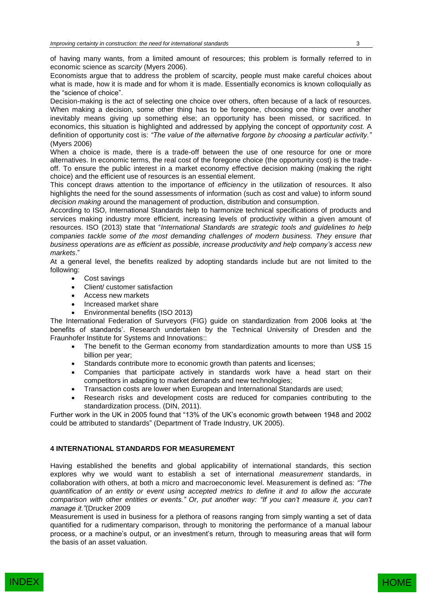of having many wants, from a limited amount of resources; this problem is formally referred to in economic science as *scarcity* (Myers 2006).

Economists argue that to address the problem of scarcity, people must make careful choices about what is made, how it is made and for whom it is made. Essentially economics is known colloquially as the "science of choice".

Decision-making is the act of selecting one choice over others, often because of a lack of resources. When making a decision, some other thing has to be foregone, choosing one thing over another inevitably means giving up something else; an opportunity has been missed, or sacrificed. In economics, this situation is highlighted and addressed by applying the concept of *opportunity cost.* A definition of opportunity cost is: *"The value of the alternative forgone by choosing a particular activity."*  (Myers 2006)

When a choice is made, there is a trade-off between the use of one resource for one or more alternatives. In economic terms, the real cost of the foregone choice (the opportunity cost) is the tradeoff. To ensure the public interest in a market economy effective decision making (making the right choice) and the efficient use of resources is an essential element.

This concept draws attention to the importance of *efficiency* in the utilization of resources. It also highlights the need for the sound assessments of information (such as cost and value) to inform sound *decision making* around the management of production, distribution and consumption.

According to ISO, International Standards help to harmonize technical specifications of products and services making industry more efficient, increasing levels of productivity within a given amount of resources. ISO (2013) state that "*International Standards are strategic tools and guidelines to help*  companies tackle some of the most demanding challenges of modern business. They ensure that *business operations are as efficient as possible, increase productivity and help company's access new markets*."

At a general level, the benefits realized by adopting standards include but are not limited to the following:

- Cost savings
- Client/ customer satisfaction
- Access new markets
- Increased market share
- Environmental benefits (ISO 2013)

The International Federation of Surveyors (FIG) guide on standardization from 2006 looks at 'the benefits of standards'. Research undertaken by the Technical University of Dresden and the Fraunhofer Institute for Systems and Innovations::

- The benefit to the German economy from standardization amounts to more than US\$ 15 billion per year;
- Standards contribute more to economic growth than patents and licenses;
- Companies that participate actively in standards work have a head start on their competitors in adapting to market demands and new technologies;
- Transaction costs are lower when European and International Standards are used;
- Research risks and development costs are reduced for companies contributing to the standardization process. (DIN, 2011).

Further work in the UK in 2005 found that "13% of the UK's economic growth between 1948 and 2002 could be attributed to standards" (Department of Trade Industry, UK 2005).

## **4 INTERNATIONAL STANDARDS FOR MEASUREMENT**

Having established the benefits and global applicability of international standards, this section explores why we would want to establish a set of international *measurement* standards, in collaboration with others, at both a micro and macroeconomic level. Measurement is defined as: *"The quantification of an entity or event using accepted metrics to define it and to allow the accurate comparison with other entities or events." Or, put another way: "If you can't measure it, you can't manage it."*(Drucker 2009

Measurement is used in business for a plethora of reasons ranging from simply wanting a set of data quantified for a rudimentary comparison, through to monitoring the performance of a manual labour process, or a machine's output, or an investment's return, through to measuring areas that will form the basis of an asset valuation.

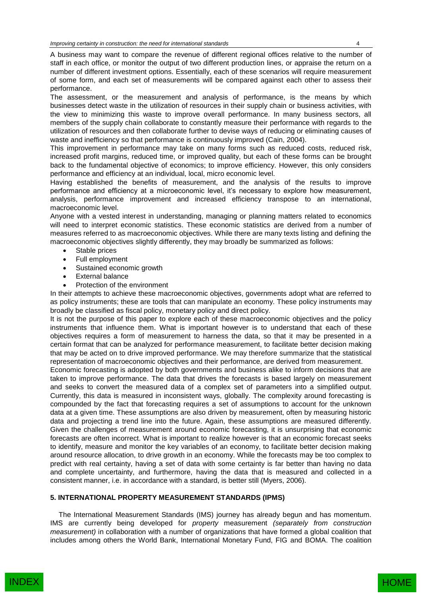A business may want to compare the revenue of different regional offices relative to the number of staff in each office, or monitor the output of two different production lines, or appraise the return on a number of different investment options. Essentially, each of these scenarios will require measurement of some form, and each set of measurements will be compared against each other to assess their performance.

The assessment, or the measurement and analysis of performance, is the means by which businesses detect waste in the utilization of resources in their supply chain or business activities, with the view to minimizing this waste to improve overall performance. In many business sectors, all members of the supply chain collaborate to constantly measure their performance with regards to the utilization of resources and then collaborate further to devise ways of reducing or eliminating causes of waste and inefficiency so that performance is continuously improved (Cain, 2004).

This improvement in performance may take on many forms such as reduced costs, reduced risk, increased profit margins, reduced time, or improved quality, but each of these forms can be brought back to the fundamental objective of economics; to improve efficiency. However, this only considers performance and efficiency at an individual, local, micro economic level.

Having established the benefits of measurement, and the analysis of the results to improve performance and efficiency at a microeconomic level, it's necessary to explore how measurement, analysis, performance improvement and increased efficiency transpose to an international, macroeconomic level.

Anyone with a vested interest in understanding, managing or planning matters related to economics will need to interpret economic statistics. These economic statistics are derived from a number of measures referred to as macroeconomic objectives. While there are many texts listing and defining the macroeconomic objectives slightly differently, they may broadly be summarized as follows:

- Stable prices
- Full employment
- Sustained economic growth
- External balance
- Protection of the environment

In their attempts to achieve these macroeconomic objectives, governments adopt what are referred to as policy instruments; these are tools that can manipulate an economy. These policy instruments may broadly be classified as fiscal policy, monetary policy and direct policy.

It is not the purpose of this paper to explore each of these macroeconomic objectives and the policy instruments that influence them. What is important however is to understand that each of these objectives requires a form of measurement to harness the data, so that it may be presented in a certain format that can be analyzed for performance measurement, to facilitate better decision making that may be acted on to drive improved performance. We may therefore summarize that the statistical representation of macroeconomic objectives and their performance, are derived from measurement.

Economic forecasting is adopted by both governments and business alike to inform decisions that are taken to improve performance. The data that drives the forecasts is based largely on measurement and seeks to convert the measured data of a complex set of parameters into a simplified output. Currently, this data is measured in inconsistent ways, globally. The complexity around forecasting is compounded by the fact that forecasting requires a set of assumptions to account for the unknown data at a given time. These assumptions are also driven by measurement, often by measuring historic data and projecting a trend line into the future. Again, these assumptions are measured differently. Given the challenges of measurement around economic forecasting, it is unsurprising that economic forecasts are often incorrect. What is important to realize however is that an economic forecast seeks to identify, measure and monitor the key variables of an economy, to facilitate better decision making around resource allocation, to drive growth in an economy. While the forecasts may be too complex to predict with real certainty, having a set of data with some certainty is far better than having no data and complete uncertainty, and furthermore, having the data that is measured and collected in a consistent manner, i.e. in accordance with a standard, is better still (Myers, 2006).

## **5. INTERNATIONAL PROPERTY MEASUREMENT STANDARDS (IPMS)**

The International Measurement Standards (IMS) journey has already begun and has momentum. IMS are currently being developed for *property* measurement *(separately from construction measurement)* in collaboration with a number of organizations that have formed a global coalition that includes among others the World Bank, International Monetary Fund, FIG and BOMA. The coalition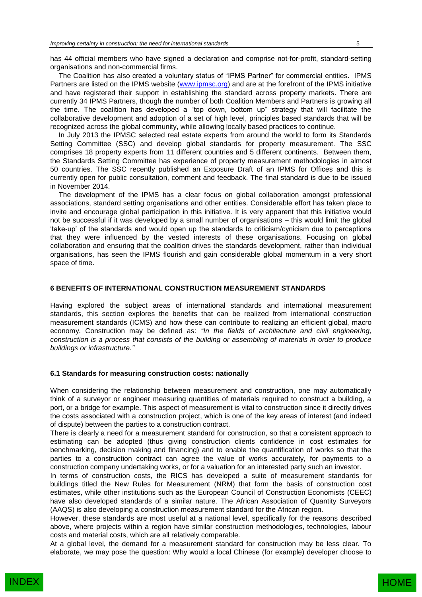has 44 official members who have signed a declaration and comprise not-for-profit, standard-setting organisations and non-commercial firms.

The Coalition has also created a voluntary status of "IPMS Partner" for commercial entities. IPMS Partners are listed on the IPMS website [\(www.ipmsc.org\)](http://www.ipmsc.org/) and are at the forefront of the IPMS initiative and have registered their support in establishing the standard across property markets. There are currently 34 IPMS Partners, though the number of both Coalition Members and Partners is growing all the time. The coalition has developed a "top down, bottom up" strategy that will facilitate the collaborative development and adoption of a set of high level, principles based standards that will be recognized across the global community, while allowing locally based practices to continue.

In July 2013 the IPMSC selected real estate experts from around the world to form its Standards Setting Committee (SSC) and develop global standards for property measurement. The SSC comprises 18 property experts from 11 different countries and 5 different continents. Between them, the Standards Setting Committee has experience of property measurement methodologies in almost 50 countries. The SSC recently published an Exposure Draft of an IPMS for Offices and this is currently open for public consultation, comment and feedback. The final standard is due to be issued in November 2014.

The development of the IPMS has a clear focus on global collaboration amongst professional associations, standard setting organisations and other entities. Considerable effort has taken place to invite and encourage global participation in this initiative. It is very apparent that this initiative would not be successful if it was developed by a small number of organisations – this would limit the global 'take-up' of the standards and would open up the standards to criticism/cynicism due to perceptions that they were influenced by the vested interests of these organisations. Focusing on global collaboration and ensuring that the coalition drives the standards development, rather than individual organisations, has seen the IPMS flourish and gain considerable global momentum in a very short space of time.

#### **6 BENEFITS OF INTERNATIONAL CONSTRUCTION MEASUREMENT STANDARDS**

Having explored the subject areas of international standards and international measurement standards, this section explores the benefits that can be realized from international construction measurement standards (ICMS) and how these can contribute to realizing an efficient global, macro economy. Construction may be defined as: *"In the fields of [architecture](http://en.wikipedia.org/wiki/Architecture) and [civil engineering,](http://en.wikipedia.org/wiki/Civil_engineering) construction is a process that consists of the [building](http://en.wikipedia.org/wiki/Building) or assembling of materials in order to produce buildings or [infrastructure.](http://en.wikipedia.org/wiki/Infrastructure)"*

#### **6.1 Standards for measuring construction costs: nationally**

When considering the relationship between measurement and construction, one may automatically think of a surveyor or engineer measuring quantities of materials required to construct a building, a port, or a bridge for example. This aspect of measurement is vital to construction since it directly drives the costs associated with a construction project, which is one of the key areas of interest (and indeed of dispute) between the parties to a construction contract.

There is clearly a need for a measurement standard for construction, so that a consistent approach to estimating can be adopted (thus giving construction clients confidence in cost estimates for benchmarking, decision making and financing) and to enable the quantification of works so that the parties to a construction contract can agree the value of works accurately, for payments to a construction company undertaking works, or for a valuation for an interested party such an investor.

In terms of construction costs, the RICS has developed a suite of measurement standards for buildings titled the New Rules for Measurement (NRM) that form the basis of construction cost estimates, while other institutions such as the European Council of Construction Economists (CEEC) have also developed standards of a similar nature. The African Association of Quantity Surveyors (AAQS) is also developing a construction measurement standard for the African region.

However, these standards are most useful at a national level, specifically for the reasons described above, where projects within a region have similar construction methodologies, technologies, labour costs and material costs, which are all relatively comparable.

At a global level, the demand for a measurement standard for construction may be less clear. To elaborate, we may pose the question: Why would a local Chinese (for example) developer choose to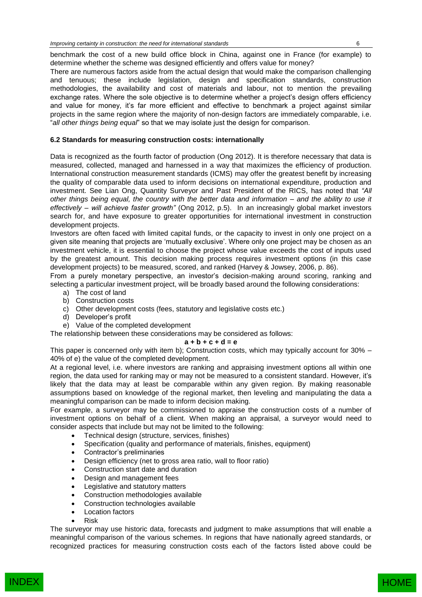benchmark the cost of a new build office block in China, against one in France (for example) to determine whether the scheme was designed efficiently and offers value for money?

There are numerous factors aside from the actual design that would make the comparison challenging and tenuous; these include legislation, design and specification standards, construction methodologies, the availability and cost of materials and labour, not to mention the prevailing exchange rates. Where the sole objective is to determine whether a project's design offers efficiency and value for money, it's far more efficient and effective to benchmark a project against similar projects in the same region where the majority of non-design factors are immediately comparable, i.e. "*all other things being equal*" so that we may isolate just the design for comparison.

## **6.2 Standards for measuring construction costs: internationally**

Data is recognized as the fourth factor of production (Ong 2012). It is therefore necessary that data is measured, collected, managed and harnessed in a way that maximizes the efficiency of production. International construction measurement standards (ICMS) may offer the greatest benefit by increasing the quality of comparable data used to inform decisions on international expenditure, production and investment. See Lian Ong, Quantity Surveyor and Past President of the RICS, has noted that *"All other things being equal, the country with the better data and information – and the ability to use it effectively – will achieve faster growth"* (Ong 2012, p.5). In an increasingly global market investors search for, and have exposure to greater opportunities for international investment in construction development projects.

Investors are often faced with limited capital funds, or the capacity to invest in only one project on a given site meaning that projects are 'mutually exclusive'. Where only one project may be chosen as an investment vehicle, it is essential to choose the project whose value exceeds the cost of inputs used by the greatest amount. This decision making process requires investment options (in this case development projects) to be measured, scored, and ranked (Harvey & Jowsey, 2006, p. 86).

From a purely monetary perspective, an investor's decision-making around scoring, ranking and selecting a particular investment project, will be broadly based around the following considerations:

- a) The cost of land
- b) Construction costs
- c) Other development costs (fees, statutory and legislative costs etc.)
- d) Developer's profit
- e) Value of the completed development

The relationship between these considerations may be considered as follows:

## **a + b + c + d = e**

This paper is concerned only with item b); Construction costs, which may typically account for 30% – 40% of e) the value of the completed development.

At a regional level, i.e. where investors are ranking and appraising investment options all within one region, the data used for ranking may or may not be measured to a consistent standard. However, it's likely that the data may at least be comparable within any given region. By making reasonable assumptions based on knowledge of the regional market, then leveling and manipulating the data a meaningful comparison can be made to inform decision making.

For example, a surveyor may be commissioned to appraise the construction costs of a number of investment options on behalf of a client. When making an appraisal, a surveyor would need to consider aspects that include but may not be limited to the following:

- Technical design (structure, services, finishes)
- Specification (quality and performance of materials, finishes, equipment)
- Contractor's preliminaries
- Design efficiency (net to gross area ratio, wall to floor ratio)
- Construction start date and duration
- Design and management fees
- Legislative and statutory matters
- Construction methodologies available
- Construction technologies available
- Location factors
- Risk

The surveyor may use historic data, forecasts and judgment to make assumptions that will enable a meaningful comparison of the various schemes. In regions that have nationally agreed standards, or recognized practices for measuring construction costs each of the factors listed above could be

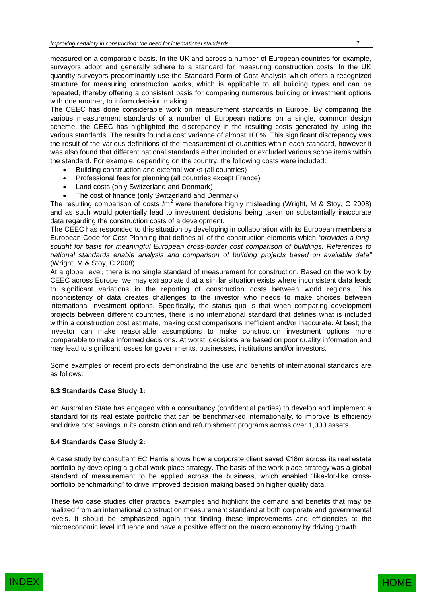measured on a comparable basis. In the UK and across a number of European countries for example, surveyors adopt and generally adhere to a standard for measuring construction costs. In the UK quantity surveyors predominantly use the Standard Form of Cost Analysis which offers a recognized structure for measuring construction works, which is applicable to all building types and can be repeated, thereby offering a consistent basis for comparing numerous building or investment options with one another, to inform decision making.

The CEEC has done considerable work on measurement standards in Europe. By comparing the various measurement standards of a number of European nations on a single, common design scheme, the CEEC has highlighted the discrepancy in the resulting costs generated by using the various standards. The results found a cost variance of almost 100%. This significant discrepancy was the result of the various definitions of the measurement of quantities within each standard, however it was also found that different national standards either included or excluded various scope items within the standard. For example, depending on the country, the following costs were included:

- Building construction and external works (all countries)
- Professional fees for planning (all countries except France)
- Land costs (only Switzerland and Denmark)
- The cost of finance (only Switzerland and Denmark)

The resulting comparison of costs  $/m^2$  were therefore highly misleading (Wright, M & Stoy, C 2008) and as such would potentially lead to investment decisions being taken on substantially inaccurate data regarding the construction costs of a development.

The CEEC has responded to this situation by developing in collaboration with its European members a European Code for Cost Planning that defines all of the construction elements which *"provides a longsought for basis for meaningful European cross-border cost comparison of buildings. References to national standards enable analysis and comparison of building projects based on available data"* (Wright, M & Stoy, C 2008).

At a global level, there is no single standard of measurement for construction. Based on the work by CEEC across Europe, we may extrapolate that a similar situation exists where inconsistent data leads to significant variations in the reporting of construction costs between world regions. This inconsistency of data creates challenges to the investor who needs to make choices between international investment options. Specifically, the status quo is that when comparing development projects between different countries, there is no international standard that defines what is included within a construction cost estimate, making cost comparisons inefficient and/or inaccurate. At best; the investor can make reasonable assumptions to make construction investment options more comparable to make informed decisions. At worst; decisions are based on poor quality information and may lead to significant losses for governments, businesses, institutions and/or investors.

Some examples of recent projects demonstrating the use and benefits of international standards are as follows:

## **6.3 Standards Case Study 1:**

An Australian State has engaged with a consultancy (confidential parties) to develop and implement a standard for its real estate portfolio that can be benchmarked internationally, to improve its efficiency and drive cost savings in its construction and refurbishment programs across over 1,000 assets.

## **6.4 Standards Case Study 2:**

A case study by consultant EC Harris shows how a corporate client saved €18m across its real estate portfolio by developing a global work place strategy. The basis of the work place strategy was a global standard of measurement to be applied across the business, which enabled "like-for-like crossportfolio benchmarking" to drive improved decision making based on higher quality data.

These two case studies offer practical examples and highlight the demand and benefits that may be realized from an international construction measurement standard at both corporate and governmental levels. It should be emphasized again that finding these improvements and efficiencies at the microeconomic level influence and have a positive effect on the macro economy by driving growth.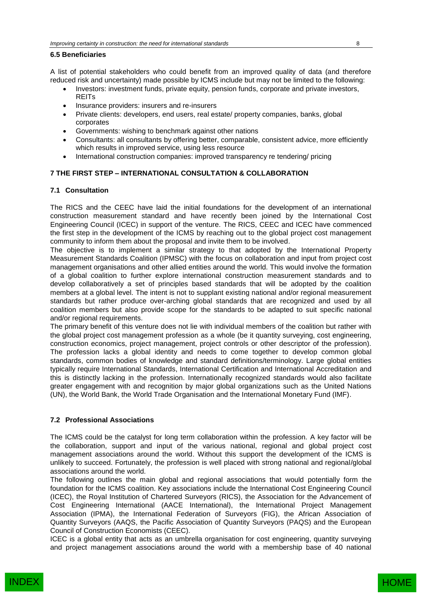## **6.5 Beneficiaries**

A list of potential stakeholders who could benefit from an improved quality of data (and therefore reduced risk and uncertainty) made possible by ICMS include but may not be limited to the following:

- Investors: investment funds, private equity, pension funds, corporate and private investors, REITs
- Insurance providers: insurers and re-insurers
- Private clients: developers, end users, real estate/ property companies, banks, global corporates
- Governments: wishing to benchmark against other nations
- Consultants: all consultants by offering better, comparable, consistent advice, more efficiently which results in improved service, using less resource
- International construction companies: improved transparency re tendering/ pricing

## **7 THE FIRST STEP – INTERNATIONAL CONSULTATION & COLLABORATION**

## **7.1 Consultation**

The RICS and the CEEC have laid the initial foundations for the development of an international construction measurement standard and have recently been joined by the International Cost Engineering Council (ICEC) in support of the venture. The RICS, CEEC and ICEC have commenced the first step in the development of the ICMS by reaching out to the global project cost management community to inform them about the proposal and invite them to be involved.

The objective is to implement a similar strategy to that adopted by the International Property Measurement Standards Coalition (IPMSC) with the focus on collaboration and input from project cost management organisations and other allied entities around the world. This would involve the formation of a global coalition to further explore international construction measurement standards and to develop collaboratively a set of principles based standards that will be adopted by the coalition members at a global level. The intent is not to supplant existing national and/or regional measurement standards but rather produce over-arching global standards that are recognized and used by all coalition members but also provide scope for the standards to be adapted to suit specific national and/or regional requirements.

The primary benefit of this venture does not lie with individual members of the coalition but rather with the global project cost management profession as a whole (be it quantity surveying, cost engineering, construction economics, project management, project controls or other descriptor of the profession). The profession lacks a global identity and needs to come together to develop common global standards, common bodies of knowledge and standard definitions/terminology. Large global entities typically require International Standards, International Certification and International Accreditation and this is distinctly lacking in the profession. Internationally recognized standards would also facilitate greater engagement with and recognition by major global organizations such as the United Nations (UN), the World Bank, the World Trade Organisation and the International Monetary Fund (IMF).

## **7.2 Professional Associations**

The ICMS could be the catalyst for long term collaboration within the profession. A key factor will be the collaboration, support and input of the various national, regional and global project cost management associations around the world. Without this support the development of the ICMS is unlikely to succeed. Fortunately, the profession is well placed with strong national and regional/global associations around the world.

The following outlines the main global and regional associations that would potentially form the foundation for the ICMS coalition. Key associations include the International Cost Engineering Council (ICEC), the Royal Institution of Chartered Surveyors (RICS), the Association for the Advancement of Cost Engineering International (AACE International), the International Project Management Association (IPMA), the International Federation of Surveyors (FIG), the African Association of Quantity Surveyors (AAQS, the Pacific Association of Quantity Surveyors (PAQS) and the European Council of Construction Economists (CEEC).

ICEC is a global entity that acts as an umbrella organisation for cost engineering, quantity surveying and project management associations around the world with a membership base of 40 national

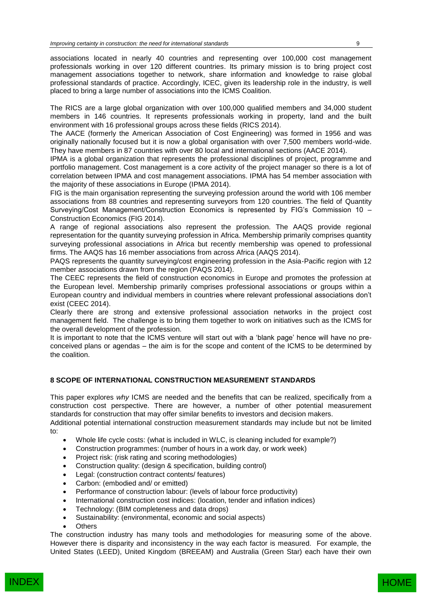associations located in nearly 40 countries and representing over 100,000 cost management professionals working in over 120 different countries. Its primary mission is to bring project cost management associations together to network, share information and knowledge to raise global professional standards of practice. Accordingly, ICEC, given its leadership role in the industry, is well placed to bring a large number of associations into the ICMS Coalition.

The RICS are a large global organization with over 100,000 qualified members and 34,000 student members in 146 countries. It represents professionals working in property, land and the built environment with 16 professional groups across these fields (RICS 2014).

The AACE (formerly the American Association of Cost Engineering) was formed in 1956 and was originally nationally focused but it is now a global organisation with over 7,500 members world-wide. They have members in 87 countries with over 80 local and international sections (AACE 2014).

IPMA is a global organization that represents the professional disciplines of project, programme and portfolio management. Cost management is a core activity of the project manager so there is a lot of correlation between IPMA and cost management associations. IPMA has 54 member association with the majority of these associations in Europe (IPMA 2014).

FIG is the main organisation representing the surveying profession around the world with 106 member associations from 88 countries and representing surveyors from 120 countries. The field of Quantity Surveying/Cost Management/Construction Economics is represented by FIG's Commission 10 – Construction Economics (FIG 2014).

A range of regional associations also represent the profession. The AAQS provide regional representation for the quantity surveying profession in Africa. Membership primarily comprises quantity surveying professional associations in Africa but recently membership was opened to professional firms. The AAQS has 16 member associations from across Africa (AAQS 2014).

PAQS represents the quantity surveying/cost engineering profession in the Asia-Pacific region with 12 member associations drawn from the region (PAQS 2014).

The CEEC represents the field of construction economics in Europe and promotes the profession at the European level. Membership primarily comprises professional associations or groups within a European country and individual members in countries where relevant professional associations don't exist (CEEC 2014).

Clearly there are strong and extensive professional association networks in the project cost management field. The challenge is to bring them together to work on initiatives such as the ICMS for the overall development of the profession.

It is important to note that the ICMS venture will start out with a 'blank page' hence will have no preconceived plans or agendas – the aim is for the scope and content of the ICMS to be determined by the coalition.

## **8 SCOPE OF INTERNATIONAL CONSTRUCTION MEASUREMENT STANDARDS**

This paper explores *why* ICMS are needed and the benefits that can be realized, specifically from a construction cost perspective. There are however, a number of other potential measurement standards for construction that may offer similar benefits to investors and decision makers.

Additional potential international construction measurement standards may include but not be limited to:

- Whole life cycle costs: (what is included in WLC, is cleaning included for example?)
- Construction programmes: (number of hours in a work day, or work week)
- Project risk: (risk rating and scoring methodologies)
- Construction quality: (design & specification, building control)
- Legal: (construction contract contents/ features)
- Carbon: (embodied and/ or emitted)
- Performance of construction labour: (levels of labour force productivity)
- International construction cost indices: (location, tender and inflation indices)
- Technology: (BIM completeness and data drops)
- Sustainability: (environmental, economic and social aspects)
- **Others**

The construction industry has many tools and methodologies for measuring some of the above. However there is disparity and inconsistency in the way each factor is measured. For example, the United States (LEED), United Kingdom (BREEAM) and Australia (Green Star) each have their own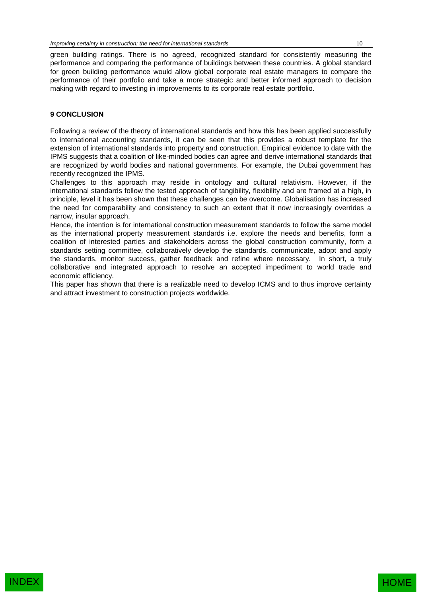green building ratings. There is no agreed, recognized standard for consistently measuring the performance and comparing the performance of buildings between these countries. A global standard for green building performance would allow global corporate real estate managers to compare the performance of their portfolio and take a more strategic and better informed approach to decision making with regard to investing in improvements to its corporate real estate portfolio.

## **9 CONCLUSION**

Following a review of the theory of international standards and how this has been applied successfully to international accounting standards, it can be seen that this provides a robust template for the extension of international standards into property and construction. Empirical evidence to date with the IPMS suggests that a coalition of like-minded bodies can agree and derive international standards that are recognized by world bodies and national governments. For example, the Dubai government has recently recognized the IPMS.

Challenges to this approach may reside in ontology and cultural relativism. However, if the international standards follow the tested approach of tangibility, flexibility and are framed at a high, in principle, level it has been shown that these challenges can be overcome. Globalisation has increased the need for comparability and consistency to such an extent that it now increasingly overrides a narrow, insular approach.

Hence, the intention is for international construction measurement standards to follow the same model as the international property measurement standards i.e. explore the needs and benefits, form a coalition of interested parties and stakeholders across the global construction community, form a standards setting committee, collaboratively develop the standards, communicate, adopt and apply the standards, monitor success, gather feedback and refine where necessary. In short, a truly collaborative and integrated approach to resolve an accepted impediment to world trade and economic efficiency.

This paper has shown that there is a realizable need to develop ICMS and to thus improve certainty and attract investment to construction projects worldwide.